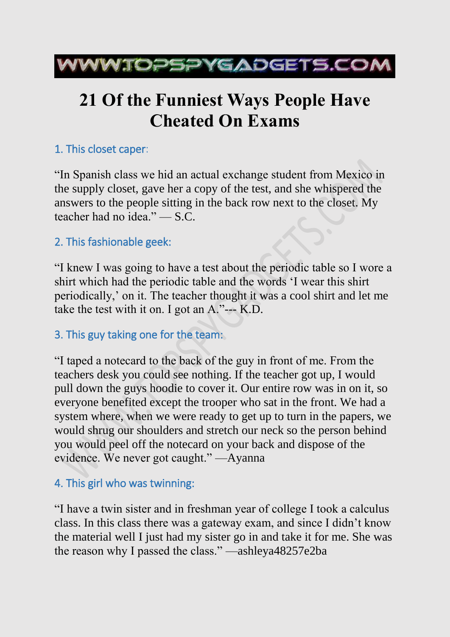

# **21 Of the Funniest Ways People Have Cheated On Exams**

# 1. This closet caper:

"In Spanish class we hid an actual exchange student from Mexico in the supply closet, gave her a copy of the test, and she whispered the answers to the people sitting in the back row next to the closet. My teacher had no idea." — S.C.

# 2. This fashionable geek:

"I knew I was going to have a test about the periodic table so I wore a shirt which had the periodic table and the words 'I wear this shirt periodically,' on it. The teacher thought it was a cool shirt and let me take the test with it on. I got an A."--- K.D.

# 3. This guy taking one for the team:

"I taped a notecard to the back of the guy in front of me. From the teachers desk you could see nothing. If the teacher got up, I would pull down the guys hoodie to cover it. Our entire row was in on it, so everyone benefited except the trooper who sat in the front. We had a system where, when we were ready to get up to turn in the papers, we would shrug our shoulders and stretch our neck so the person behind you would peel off the notecard on your back and dispose of the evidence. We never got caught." —Ayanna

# 4. This girl who was twinning:

"I have a twin sister and in freshman year of college I took a calculus class. In this class there was a gateway exam, and since I didn't know the material well I just had my sister go in and take it for me. She was the reason why I passed the class." —ashleya48257e2ba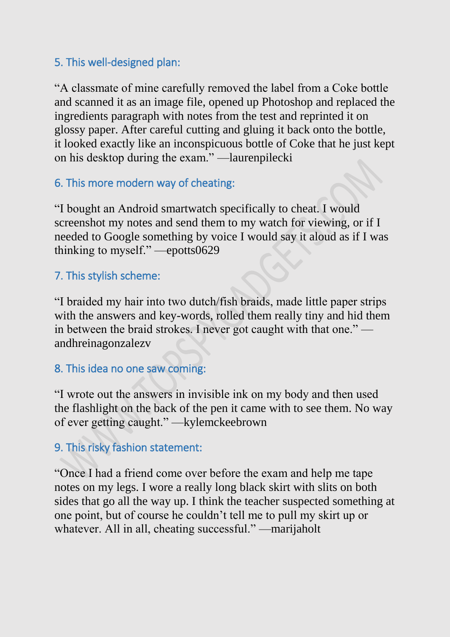## 5. This well-designed plan:

"A classmate of mine carefully removed the label from a Coke bottle and scanned it as an image file, opened up Photoshop and replaced the ingredients paragraph with notes from the test and reprinted it on glossy paper. After careful cutting and gluing it back onto the bottle, it looked exactly like an inconspicuous bottle of Coke that he just kept on his desktop during the exam." —laurenpilecki

## 6. This more modern way of cheating:

"I bought an Android smartwatch specifically to cheat. I would screenshot my notes and send them to my watch for viewing, or if I needed to Google something by voice I would say it aloud as if I was thinking to myself." —epotts0629

#### 7. This stylish scheme:

"I braided my hair into two dutch/fish braids, made little paper strips with the answers and key-words, rolled them really tiny and hid them in between the braid strokes. I never got caught with that one." andhreinagonzalezv

#### 8. This idea no one saw coming:

"I wrote out the answers in invisible ink on my body and then used the flashlight on the back of the pen it came with to see them. No way of ever getting caught." —kylemckeebrown

# 9. This risky fashion statement:

"Once I had a friend come over before the exam and help me tape notes on my legs. I wore a really long black skirt with slits on both sides that go all the way up. I think the teacher suspected something at one point, but of course he couldn't tell me to pull my skirt up or whatever. All in all, cheating successful." —marijaholt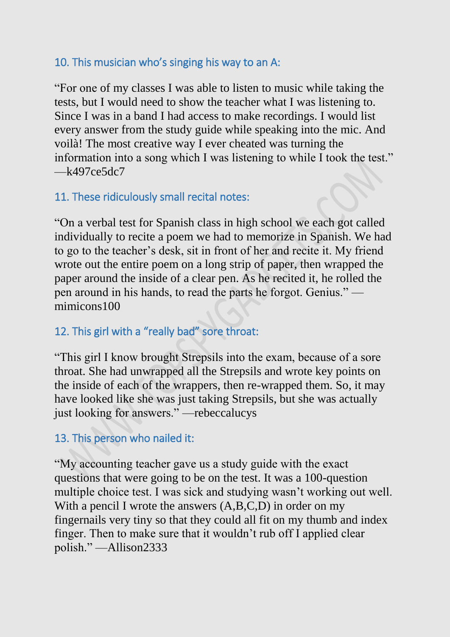#### 10. This musician who's singing his way to an A:

"For one of my classes I was able to listen to music while taking the tests, but I would need to show the teacher what I was listening to. Since I was in a band I had access to make recordings. I would list every answer from the study guide while speaking into the mic. And voilà! The most creative way I ever cheated was turning the information into a song which I was listening to while I took the test."  $-K497c$ e5dc7

# 11. These ridiculously small recital notes:

"On a verbal test for Spanish class in high school we each got called individually to recite a poem we had to memorize in Spanish. We had to go to the teacher's desk, sit in front of her and recite it. My friend wrote out the entire poem on a long strip of paper, then wrapped the paper around the inside of a clear pen. As he recited it, he rolled the pen around in his hands, to read the parts he forgot. Genius." mimicons100

#### 12. This girl with a "really bad" sore throat:

"This girl I know brought Strepsils into the exam, because of a sore throat. She had unwrapped all the Strepsils and wrote key points on the inside of each of the wrappers, then re-wrapped them. So, it may have looked like she was just taking Strepsils, but she was actually just looking for answers." —rebeccalucys

#### 13. This person who nailed it:

"My accounting teacher gave us a study guide with the exact questions that were going to be on the test. It was a 100-question multiple choice test. I was sick and studying wasn't working out well. With a pencil I wrote the answers  $(A,B,C,D)$  in order on my fingernails very tiny so that they could all fit on my thumb and index finger. Then to make sure that it wouldn't rub off I applied clear polish." —Allison2333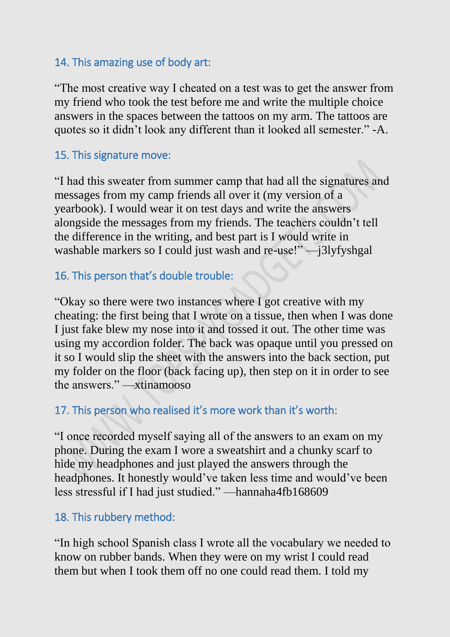#### 14. This amazing use of body art:

"The most creative way I cheated on a test was to get the answer from my friend who took the test before me and write the multiple choice answers in the spaces between the tattoos on my arm. The tattoos are quotes so it didn't look any different than it looked all semester." -A.

## 15. This signature move:

"I had this sweater from summer camp that had all the signatures and messages from my camp friends all over it (my version of a yearbook). I would wear it on test days and write the answers alongside the messages from my friends. The teachers couldn't tell the difference in the writing, and best part is I would write in washable markers so I could just wash and re-use!" —j3lyfyshgal

# 16. This person that's double trouble:

"Okay so there were two instances where I got creative with my cheating: the first being that I wrote on a tissue, then when I was done I just fake blew my nose into it and tossed it out. The other time was using my accordion folder. The back was opaque until you pressed on it so I would slip the sheet with the answers into the back section, put my folder on the floor (back facing up), then step on it in order to see the answers." —xtinamooso

# 17. This person who realised it's more work than it's worth:

"I once recorded myself saying all of the answers to an exam on my phone. During the exam I wore a sweatshirt and a chunky scarf to hide my headphones and just played the answers through the headphones. It honestly would've taken less time and would've been less stressful if I had just studied." —hannaha4fb168609

#### 18. This rubbery method:

"In high school Spanish class I wrote all the vocabulary we needed to know on rubber bands. When they were on my wrist I could read them but when I took them off no one could read them. I told my